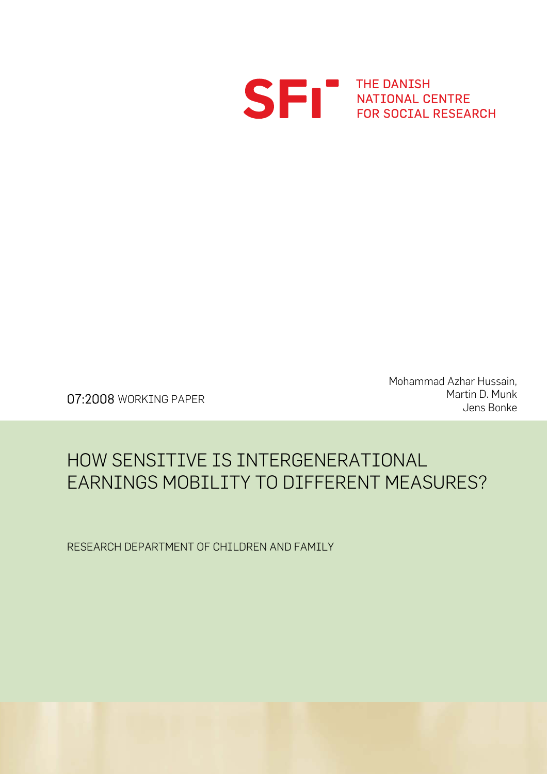

S FRI THE DANISH<br>FOR SOCIAL RESEARCH

Mohammad Azhar Hussain, Martin D. Munk O7:2008 WORKING PAPER<br>Jens Bonke (1995) Martin D. Munk

## HOW SENSITIVE IS INTERGENERATIONAL EARNINGS MOBILITY TO DIFFERENT MEASURES?

RESEARCH DEPARTMENT OF CHILDREN AND FAMILY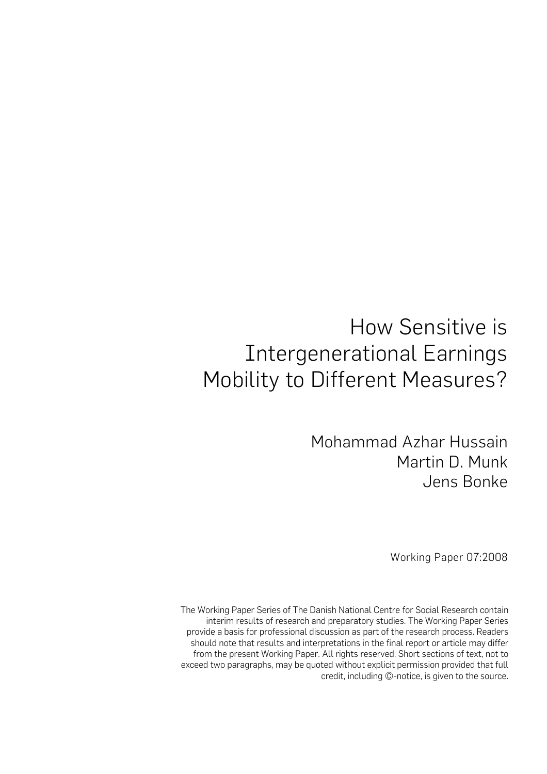# How Sensitive is Intergenerational Earnings Mobility to Different Measures?

Mohammad Azhar Hussain Martin D. Munk Jens Bonke

Working Paper 07:2008

The Working Paper Series of The Danish National Centre for Social Research contain interim results of research and preparatory studies. The Working Paper Series provide a basis for professional discussion as part of the research process. Readers should note that results and interpretations in the final report or article may differ from the present Working Paper. All rights reserved. Short sections of text, not to exceed two paragraphs, may be quoted without explicit permission provided that full credit, including ©-notice, is given to the source.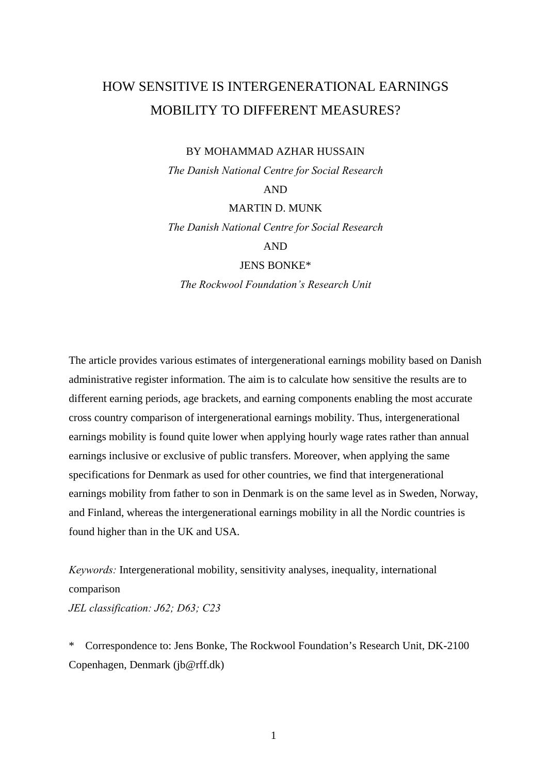## HOW SENSITIVE IS INTERGENERATIONAL EARNINGS MOBILITY TO DIFFERENT MEASURES?

#### BY MOHAMMAD AZHAR HUSSAIN

*The Danish National Centre for Social Research* 

AND

MARTIN D. MUNK

*The Danish National Centre for Social Research* 

AND

JENS BONKE\*

*The Rockwool Foundation's Research Unit* 

The article provides various estimates of intergenerational earnings mobility based on Danish administrative register information. The aim is to calculate how sensitive the results are to different earning periods, age brackets, and earning components enabling the most accurate cross country comparison of intergenerational earnings mobility. Thus, intergenerational earnings mobility is found quite lower when applying hourly wage rates rather than annual earnings inclusive or exclusive of public transfers. Moreover, when applying the same specifications for Denmark as used for other countries, we find that intergenerational earnings mobility from father to son in Denmark is on the same level as in Sweden, Norway, and Finland, whereas the intergenerational earnings mobility in all the Nordic countries is found higher than in the UK and USA.

*Keywords:* Intergenerational mobility, sensitivity analyses, inequality, international comparison *JEL classification: J62; D63; C23*

\* Correspondence to: Jens Bonke, The Rockwool Foundation's Research Unit, DK-2100 Copenhagen, Denmark (jb@rff.dk)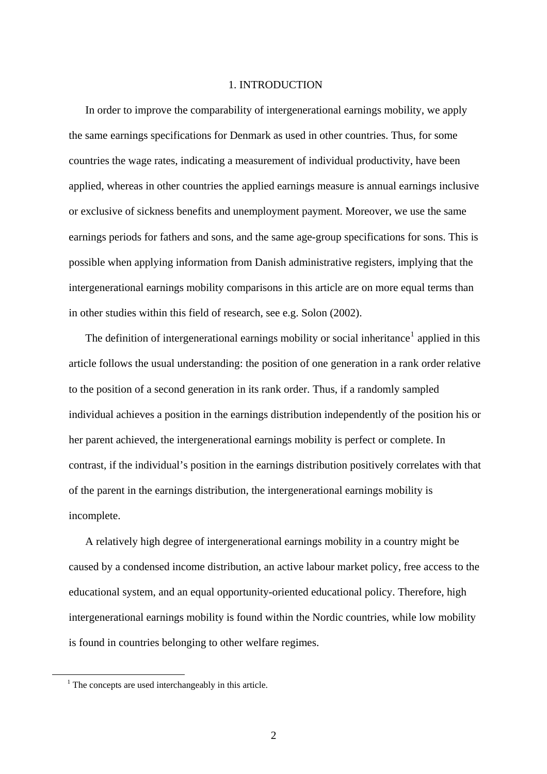#### 1. INTRODUCTION

In order to improve the comparability of intergenerational earnings mobility, we apply the same earnings specifications for Denmark as used in other countries. Thus, for some countries the wage rates, indicating a measurement of individual productivity, have been applied, whereas in other countries the applied earnings measure is annual earnings inclusive or exclusive of sickness benefits and unemployment payment. Moreover, we use the same earnings periods for fathers and sons, and the same age-group specifications for sons. This is possible when applying information from Danish administrative registers, implying that the intergenerational earnings mobility comparisons in this article are on more equal terms than in other studies within this field of research, see e.g. Solon (2002).

The definition of intergenerational earnings mobility or social inheritance<sup>[1](#page-3-0)</sup> applied in this article follows the usual understanding: the position of one generation in a rank order relative to the position of a second generation in its rank order. Thus, if a randomly sampled individual achieves a position in the earnings distribution independently of the position his or her parent achieved, the intergenerational earnings mobility is perfect or complete. In contrast, if the individual's position in the earnings distribution positively correlates with that of the parent in the earnings distribution, the intergenerational earnings mobility is incomplete.

 A relatively high degree of intergenerational earnings mobility in a country might be caused by a condensed income distribution, an active labour market policy, free access to the educational system, and an equal opportunity-oriented educational policy. Therefore, high intergenerational earnings mobility is found within the Nordic countries, while low mobility is found in countries belonging to other welfare regimes.

<span id="page-3-0"></span> $\overline{\phantom{0}1}$  $1$  The concepts are used interchangeably in this article.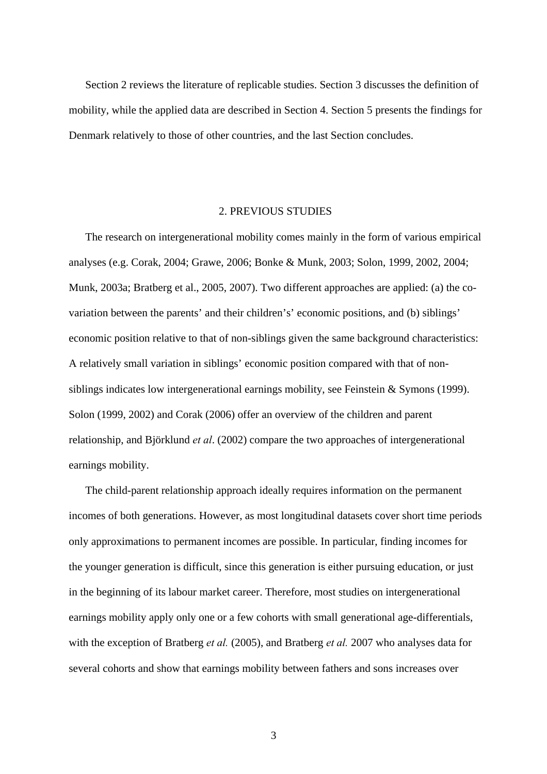Section 2 reviews the literature of replicable studies. Section 3 discusses the definition of mobility, while the applied data are described in Section 4. Section 5 presents the findings for Denmark relatively to those of other countries, and the last Section concludes.

#### 2. PREVIOUS STUDIES

The research on intergenerational mobility comes mainly in the form of various empirical analyses (e.g. Corak, 2004; Grawe, 2006; Bonke & Munk, 2003; Solon, 1999, 2002, 2004; Munk, 2003a; Bratberg et al., 2005, 2007). Two different approaches are applied: (a) the covariation between the parents' and their children's' economic positions, and (b) siblings' economic position relative to that of non-siblings given the same background characteristics: A relatively small variation in siblings' economic position compared with that of nonsiblings indicates low intergenerational earnings mobility, see Feinstein & Symons (1999). Solon (1999, 2002) and Corak (2006) offer an overview of the children and parent relationship, and Björklund *et al*. (2002) compare the two approaches of intergenerational earnings mobility.

 The child-parent relationship approach ideally requires information on the permanent incomes of both generations. However, as most longitudinal datasets cover short time periods only approximations to permanent incomes are possible. In particular, finding incomes for the younger generation is difficult, since this generation is either pursuing education, or just in the beginning of its labour market career. Therefore, most studies on intergenerational earnings mobility apply only one or a few cohorts with small generational age-differentials, with the exception of Bratberg *et al.* (2005), and Bratberg *et al.* 2007 who analyses data for several cohorts and show that earnings mobility between fathers and sons increases over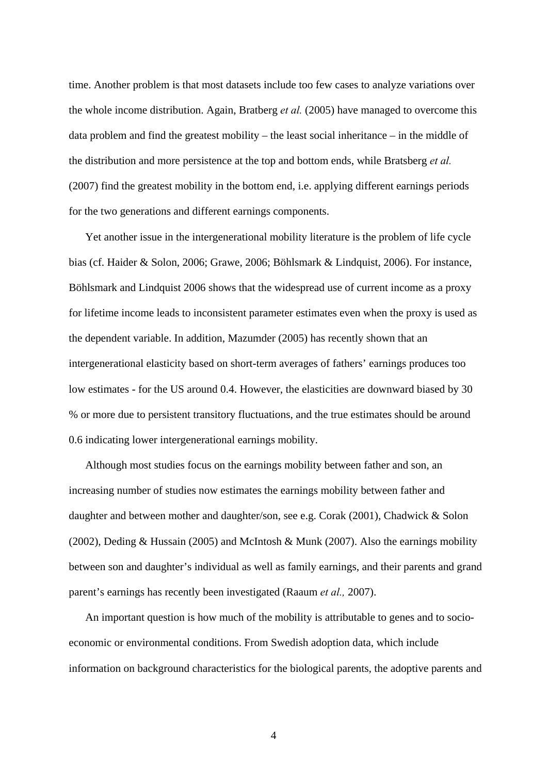time. Another problem is that most datasets include too few cases to analyze variations over the whole income distribution. Again, Bratberg *et al.* (2005) have managed to overcome this data problem and find the greatest mobility – the least social inheritance – in the middle of the distribution and more persistence at the top and bottom ends, while Bratsberg *et al.* (2007) find the greatest mobility in the bottom end, i.e. applying different earnings periods for the two generations and different earnings components.

Yet another issue in the intergenerational mobility literature is the problem of life cycle bias (cf. Haider & Solon, 2006; Grawe, 2006; Böhlsmark & Lindquist, 2006). For instance, Böhlsmark and Lindquist 2006 shows that the widespread use of current income as a proxy for lifetime income leads to inconsistent parameter estimates even when the proxy is used as the dependent variable. In addition, Mazumder (2005) has recently shown that an intergenerational elasticity based on short-term averages of fathers' earnings produces too low estimates - for the US around 0.4. However, the elasticities are downward biased by 30 % or more due to persistent transitory fluctuations, and the true estimates should be around 0.6 indicating lower intergenerational earnings mobility.

 Although most studies focus on the earnings mobility between father and son, an increasing number of studies now estimates the earnings mobility between father and daughter and between mother and daughter/son, see e.g. Corak (2001), Chadwick & Solon (2002), Deding & Hussain (2005) and McIntosh & Munk (2007). Also the earnings mobility between son and daughter's individual as well as family earnings, and their parents and grand parent's earnings has recently been investigated (Raaum *et al.,* 2007).

An important question is how much of the mobility is attributable to genes and to socioeconomic or environmental conditions. From Swedish adoption data, which include information on background characteristics for the biological parents, the adoptive parents and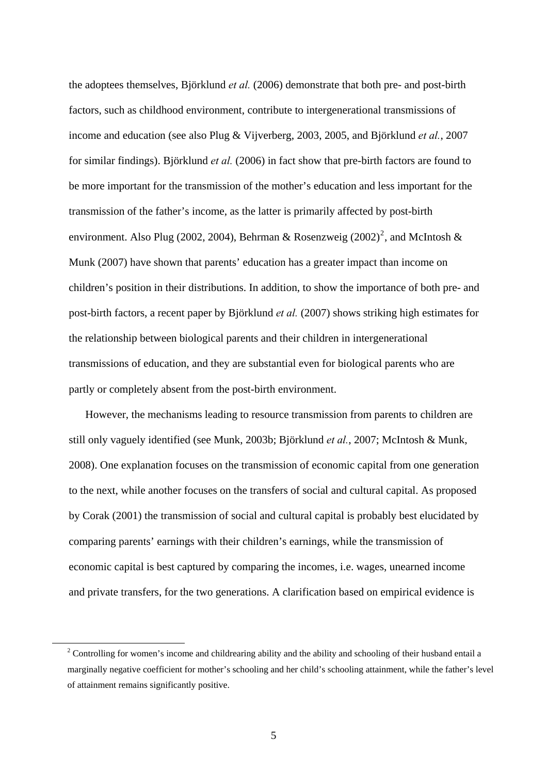the adoptees themselves, Björklund *et al.* (2006) demonstrate that both pre- and post-birth factors, such as childhood environment, contribute to intergenerational transmissions of income and education (see also Plug & Vijverberg, 2003, 2005, and Björklund *et al.*, 2007 for similar findings). Björklund *et al.* (2006) in fact show that pre-birth factors are found to be more important for the transmission of the mother's education and less important for the transmission of the father's income, as the latter is primarily affected by post-birth environment. Also Plug ([2](#page-6-0)002, 2004), Behrman & Rosenzweig (2002)<sup>2</sup>, and McIntosh & Munk (2007) have shown that parents' education has a greater impact than income on children's position in their distributions. In addition, to show the importance of both pre- and post-birth factors, a recent paper by Björklund *et al.* (2007) shows striking high estimates for the relationship between biological parents and their children in intergenerational transmissions of education, and they are substantial even for biological parents who are partly or completely absent from the post-birth environment.

 However, the mechanisms leading to resource transmission from parents to children are still only vaguely identified (see Munk, 2003b; Björklund *et al.*, 2007; McIntosh & Munk, 2008). One explanation focuses on the transmission of economic capital from one generation to the next, while another focuses on the transfers of social and cultural capital. As proposed by Corak (2001) the transmission of social and cultural capital is probably best elucidated by comparing parents' earnings with their children's earnings, while the transmission of economic capital is best captured by comparing the incomes, i.e. wages, unearned income and private transfers, for the two generations. A clarification based on empirical evidence is

<span id="page-6-0"></span> $\frac{1}{2}$ <sup>2</sup> Controlling for women's income and childrearing ability and the ability and schooling of their husband entail a marginally negative coefficient for mother's schooling and her child's schooling attainment, while the father's level of attainment remains significantly positive.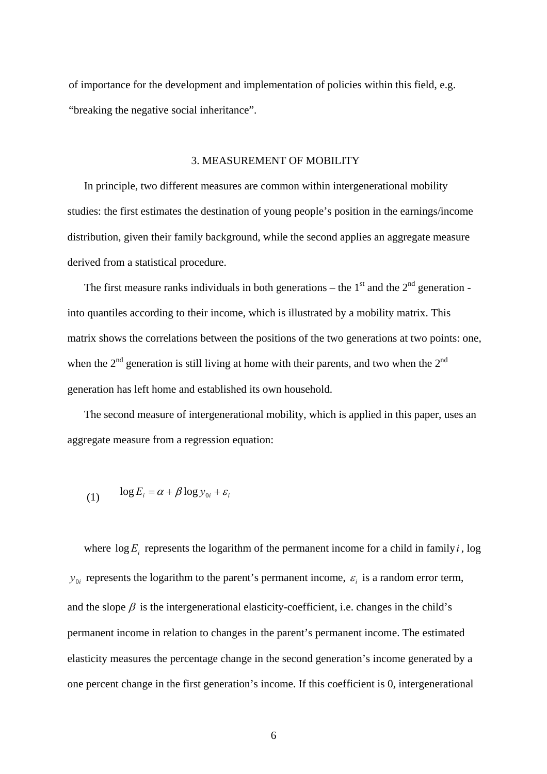of importance for the development and implementation of policies within this field, e.g. "breaking the negative social inheritance".

#### 3. MEASUREMENT OF MOBILITY

In principle, two different measures are common within intergenerational mobility studies: the first estimates the destination of young people's position in the earnings/income distribution, given their family background, while the second applies an aggregate measure derived from a statistical procedure.

The first measure ranks individuals in both generations – the  $1<sup>st</sup>$  and the  $2<sup>nd</sup>$  generation into quantiles according to their income, which is illustrated by a mobility matrix. This matrix shows the correlations between the positions of the two generations at two points: one, when the  $2<sup>nd</sup>$  generation is still living at home with their parents, and two when the  $2<sup>nd</sup>$ generation has left home and established its own household.

The second measure of intergenerational mobility, which is applied in this paper, uses an aggregate measure from a regression equation:

$$
(1) \qquad \log E_i = \alpha + \beta \log y_{0i} + \varepsilon_i
$$

where  $\log E_i$  represents the logarithm of the permanent income for a child in family *i*, log  $y_{0i}$  represents the logarithm to the parent's permanent income,  $\varepsilon_i$  is a random error term, and the slope  $\beta$  is the intergenerational elasticity-coefficient, i.e. changes in the child's permanent income in relation to changes in the parent's permanent income. The estimated elasticity measures the percentage change in the second generation's income generated by a one percent change in the first generation's income. If this coefficient is 0, intergenerational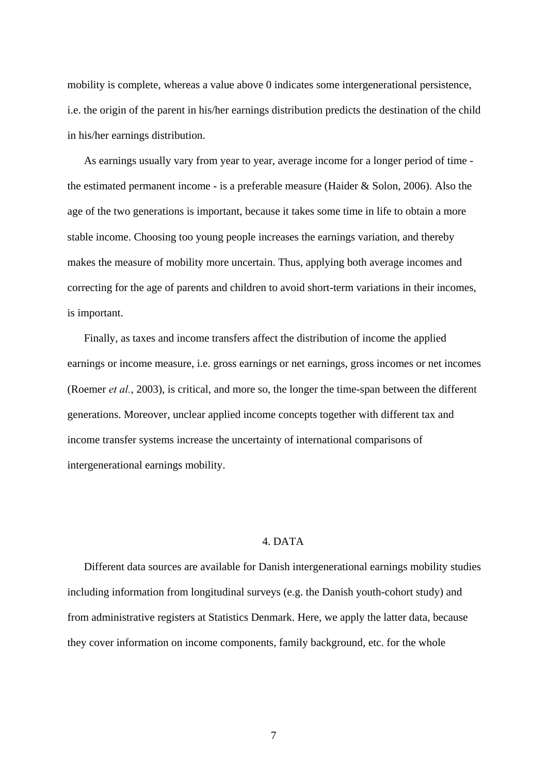mobility is complete, whereas a value above 0 indicates some intergenerational persistence, i.e. the origin of the parent in his/her earnings distribution predicts the destination of the child in his/her earnings distribution.

As earnings usually vary from year to year, average income for a longer period of time the estimated permanent income - is a preferable measure (Haider & Solon, 2006). Also the age of the two generations is important, because it takes some time in life to obtain a more stable income. Choosing too young people increases the earnings variation, and thereby makes the measure of mobility more uncertain. Thus, applying both average incomes and correcting for the age of parents and children to avoid short-term variations in their incomes, is important.

Finally, as taxes and income transfers affect the distribution of income the applied earnings or income measure, i.e. gross earnings or net earnings, gross incomes or net incomes (Roemer *et al.*, 2003), is critical, and more so, the longer the time-span between the different generations. Moreover, unclear applied income concepts together with different tax and income transfer systems increase the uncertainty of international comparisons of intergenerational earnings mobility.

#### 4. DATA

Different data sources are available for Danish intergenerational earnings mobility studies including information from longitudinal surveys (e.g. the Danish youth-cohort study) and from administrative registers at Statistics Denmark. Here, we apply the latter data, because they cover information on income components, family background, etc. for the whole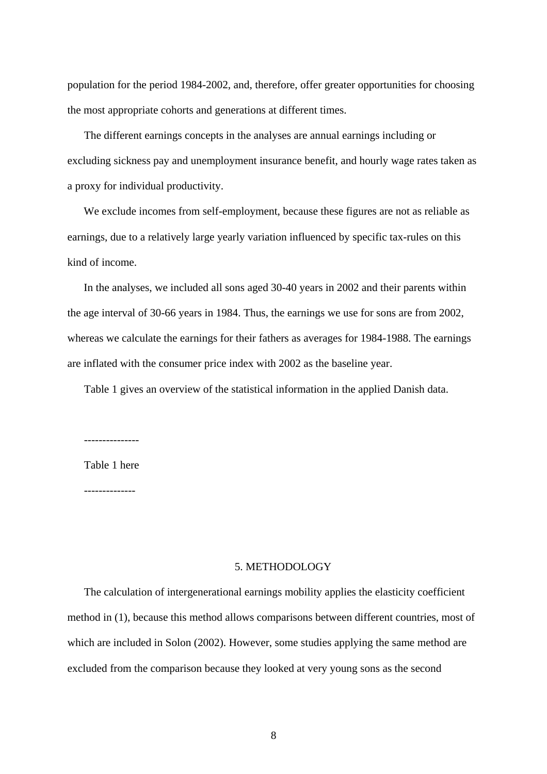population for the period 1984-2002, and, therefore, offer greater opportunities for choosing the most appropriate cohorts and generations at different times.

The different earnings concepts in the analyses are annual earnings including or excluding sickness pay and unemployment insurance benefit, and hourly wage rates taken as a proxy for individual productivity.

We exclude incomes from self-employment, because these figures are not as reliable as earnings, due to a relatively large yearly variation influenced by specific tax-rules on this kind of income.

In the analyses, we included all sons aged 30-40 years in 2002 and their parents within the age interval of 30-66 years in 1984. Thus, the earnings we use for sons are from 2002, whereas we calculate the earnings for their fathers as averages for 1984-1988. The earnings are inflated with the consumer price index with 2002 as the baseline year.

Table 1 gives an overview of the statistical information in the applied Danish data.

---------------

Table 1 here

--------------

#### 5. METHODOLOGY

The calculation of intergenerational earnings mobility applies the elasticity coefficient method in (1), because this method allows comparisons between different countries, most of which are included in Solon (2002). However, some studies applying the same method are excluded from the comparison because they looked at very young sons as the second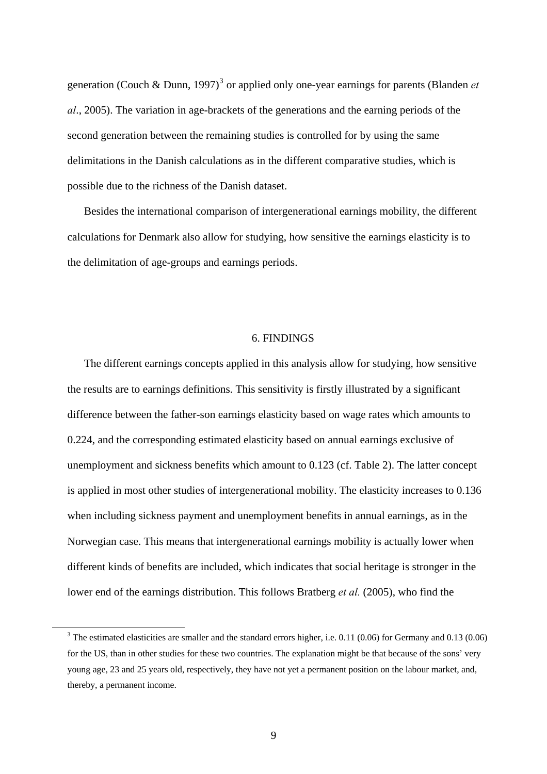generation (Couch & Dunn, 1997)<sup>[3](#page-10-0)</sup> or applied only one-year earnings for parents (Blanden *et al*., 2005). The variation in age-brackets of the generations and the earning periods of the second generation between the remaining studies is controlled for by using the same delimitations in the Danish calculations as in the different comparative studies, which is possible due to the richness of the Danish dataset.

Besides the international comparison of intergenerational earnings mobility, the different calculations for Denmark also allow for studying, how sensitive the earnings elasticity is to the delimitation of age-groups and earnings periods.

#### 6. FINDINGS

The different earnings concepts applied in this analysis allow for studying, how sensitive the results are to earnings definitions. This sensitivity is firstly illustrated by a significant difference between the father-son earnings elasticity based on wage rates which amounts to 0.224, and the corresponding estimated elasticity based on annual earnings exclusive of unemployment and sickness benefits which amount to 0.123 (cf. Table 2). The latter concept is applied in most other studies of intergenerational mobility. The elasticity increases to 0.136 when including sickness payment and unemployment benefits in annual earnings, as in the Norwegian case. This means that intergenerational earnings mobility is actually lower when different kinds of benefits are included, which indicates that social heritage is stronger in the lower end of the earnings distribution. This follows Bratberg *et al.* (2005), who find the

<span id="page-10-0"></span> $\frac{1}{3}$  $3$  The estimated elasticities are smaller and the standard errors higher, i.e. 0.11 (0.06) for Germany and 0.13 (0.06) for the US, than in other studies for these two countries. The explanation might be that because of the sons' very young age, 23 and 25 years old, respectively, they have not yet a permanent position on the labour market, and, thereby, a permanent income.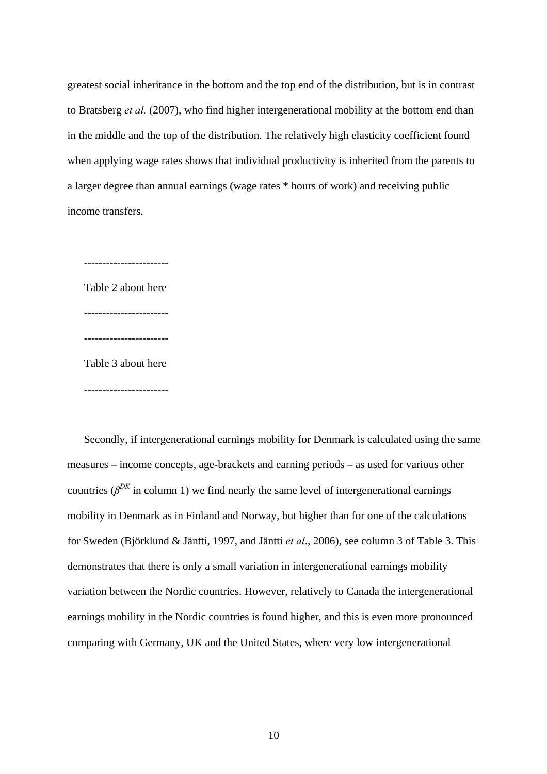greatest social inheritance in the bottom and the top end of the distribution, but is in contrast to Bratsberg *et al.* (2007), who find higher intergenerational mobility at the bottom end than in the middle and the top of the distribution. The relatively high elasticity coefficient found when applying wage rates shows that individual productivity is inherited from the parents to a larger degree than annual earnings (wage rates \* hours of work) and receiving public income transfers.

----------------------- Table 2 about here ----------------------- ----------------------- Table 3 about here -----------------------

Secondly, if intergenerational earnings mobility for Denmark is calculated using the same measures – income concepts, age-brackets and earning periods – as used for various other countries ( $\beta^{DK}$  in column 1) we find nearly the same level of intergenerational earnings mobility in Denmark as in Finland and Norway, but higher than for one of the calculations for Sweden (Björklund & Jäntti, 1997, and Jäntti *et al*., 2006), see column 3 of Table 3. This demonstrates that there is only a small variation in intergenerational earnings mobility variation between the Nordic countries. However, relatively to Canada the intergenerational earnings mobility in the Nordic countries is found higher, and this is even more pronounced comparing with Germany, UK and the United States, where very low intergenerational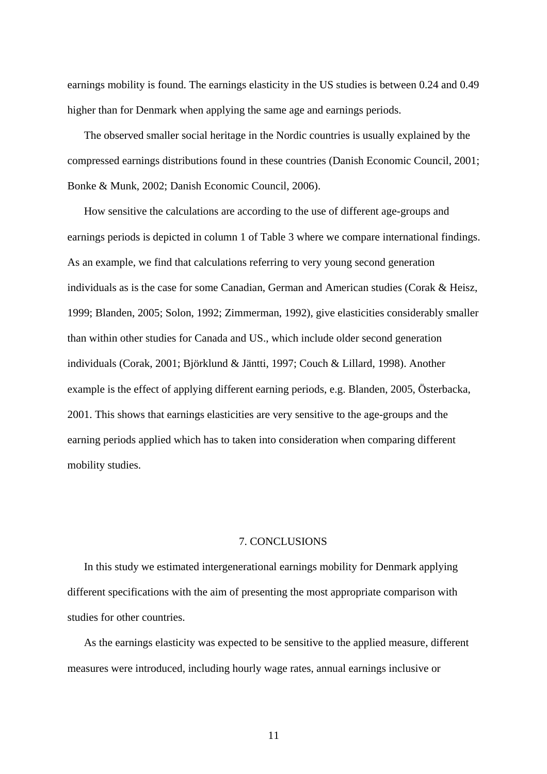earnings mobility is found. The earnings elasticity in the US studies is between 0.24 and 0.49 higher than for Denmark when applying the same age and earnings periods.

The observed smaller social heritage in the Nordic countries is usually explained by the compressed earnings distributions found in these countries (Danish Economic Council, 2001; Bonke & Munk, 2002; Danish Economic Council, 2006).

How sensitive the calculations are according to the use of different age-groups and earnings periods is depicted in column 1 of Table 3 where we compare international findings. As an example, we find that calculations referring to very young second generation individuals as is the case for some Canadian, German and American studies (Corak & Heisz, 1999; Blanden, 2005; Solon, 1992; Zimmerman, 1992), give elasticities considerably smaller than within other studies for Canada and US., which include older second generation individuals (Corak, 2001; Björklund & Jäntti, 1997; Couch & Lillard, 1998). Another example is the effect of applying different earning periods, e.g. Blanden, 2005, Österbacka, 2001. This shows that earnings elasticities are very sensitive to the age-groups and the earning periods applied which has to taken into consideration when comparing different mobility studies.

#### 7. CONCLUSIONS

In this study we estimated intergenerational earnings mobility for Denmark applying different specifications with the aim of presenting the most appropriate comparison with studies for other countries.

As the earnings elasticity was expected to be sensitive to the applied measure, different measures were introduced, including hourly wage rates, annual earnings inclusive or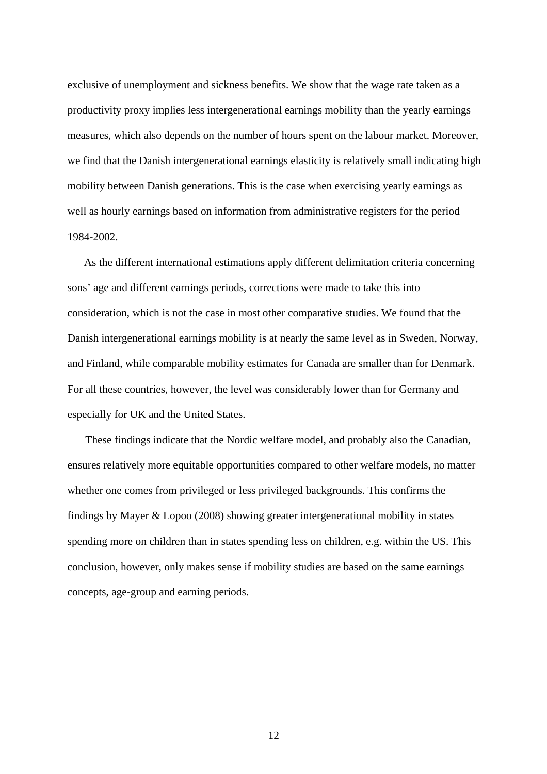exclusive of unemployment and sickness benefits. We show that the wage rate taken as a productivity proxy implies less intergenerational earnings mobility than the yearly earnings measures, which also depends on the number of hours spent on the labour market. Moreover, we find that the Danish intergenerational earnings elasticity is relatively small indicating high mobility between Danish generations. This is the case when exercising yearly earnings as well as hourly earnings based on information from administrative registers for the period 1984-2002.

As the different international estimations apply different delimitation criteria concerning sons' age and different earnings periods, corrections were made to take this into consideration, which is not the case in most other comparative studies. We found that the Danish intergenerational earnings mobility is at nearly the same level as in Sweden, Norway, and Finland, while comparable mobility estimates for Canada are smaller than for Denmark. For all these countries, however, the level was considerably lower than for Germany and especially for UK and the United States.

 These findings indicate that the Nordic welfare model, and probably also the Canadian, ensures relatively more equitable opportunities compared to other welfare models, no matter whether one comes from privileged or less privileged backgrounds. This confirms the findings by Mayer & Lopoo (2008) showing greater intergenerational mobility in states spending more on children than in states spending less on children, e.g. within the US. This conclusion, however, only makes sense if mobility studies are based on the same earnings concepts, age-group and earning periods.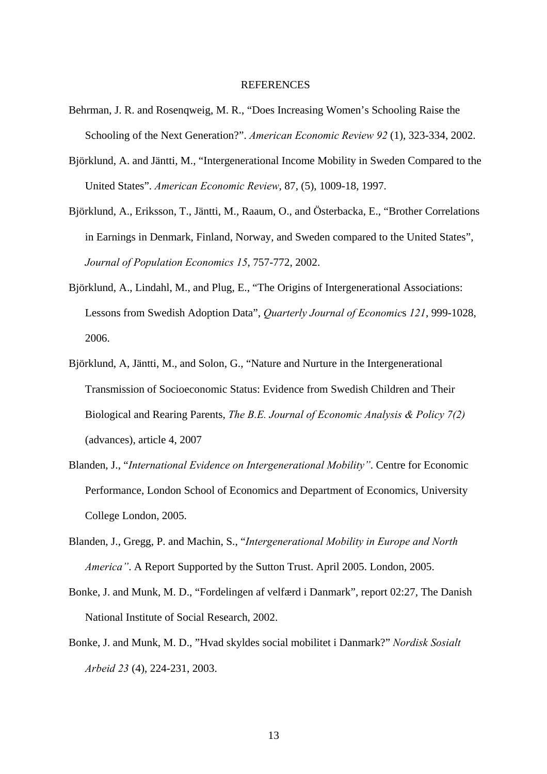#### **REFERENCES**

- Behrman, J. R. and Rosenqweig, M. R., "Does Increasing Women's Schooling Raise the Schooling of the Next Generation?". *American Economic Review 92* (1), 323-334, 2002.
- Björklund, A. and Jäntti, M., "Intergenerational Income Mobility in Sweden Compared to the United States". *American Economic Review*, 87, (5), 1009-18, 1997.
- Björklund, A., Eriksson, T., Jäntti, M., Raaum, O., and Österbacka, E., "Brother Correlations in Earnings in Denmark, Finland, Norway, and Sweden compared to the United States", *Journal of Population Economics 15*, 757-772, 2002.
- Björklund, A., Lindahl, M., and Plug, E., "The Origins of Intergenerational Associations: Lessons from Swedish Adoption Data", *Quarterly Journal of Economic*s *121*, 999-1028, 2006.
- Björklund, A, Jäntti, M., and Solon, G., "Nature and Nurture in the Intergenerational Transmission of Socioeconomic Status: Evidence from Swedish Children and Their Biological and Rearing Parents, *The B.E. Journal of Economic Analysis & Policy 7(2)*  (advances), article 4, 2007
- Blanden, J., "*International Evidence on Intergenerational Mobility"*. Centre for Economic Performance, London School of Economics and Department of Economics, University College London, 2005.
- Blanden, J., Gregg, P. and Machin, S., "*Intergenerational Mobility in Europe and North America"*. A Report Supported by the Sutton Trust. April 2005. London, 2005.
- Bonke, J. and Munk, M. D., "Fordelingen af velfærd i Danmark", report 02:27, The Danish National Institute of Social Research, 2002.
- Bonke, J. and Munk, M. D., "Hvad skyldes social mobilitet i Danmark?" *Nordisk Sosialt Arbeid 23* (4), 224-231, 2003.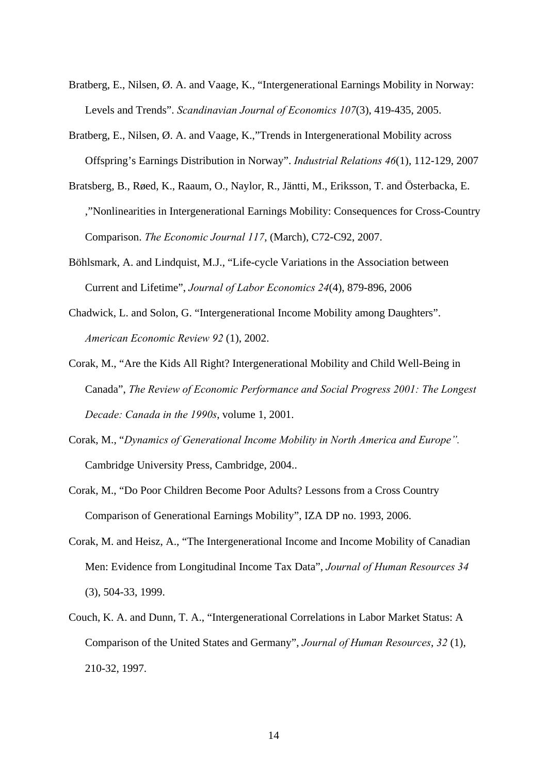- Bratberg, E., Nilsen, Ø. A. and Vaage, K., "Intergenerational Earnings Mobility in Norway: Levels and Trends". *Scandinavian Journal of Economics 107*(3), 419-435, 2005.
- Bratberg, E., Nilsen, Ø. A. and Vaage, K.,"Trends in Intergenerational Mobility across Offspring's Earnings Distribution in Norway". *Industrial Relations 46*(1), 112-129, 2007
- Bratsberg, B., Røed, K., Raaum, O., Naylor, R., Jäntti, M., Eriksson, T. and Österbacka, E. ,"Nonlinearities in Intergenerational Earnings Mobility: Consequences for Cross-Country Comparison. *The Economic Journal 117*, (March), C72-C92, 2007.
- Böhlsmark, A. and Lindquist, M.J., "Life-cycle Variations in the Association between Current and Lifetime", *Journal of Labor Economics 24*(4), 879-896, 2006
- Chadwick, L. and Solon, G. "Intergenerational Income Mobility among Daughters". *American Economic Review 92* (1), 2002.
- Corak, M., "Are the Kids All Right? Intergenerational Mobility and Child Well-Being in Canada", *The Review of Economic Performance and Social Progress 2001: The Longest Decade: Canada in the 1990s*, volume 1, 2001.
- Corak, M., "*Dynamics of Generational Income Mobility in North America and Europe".* Cambridge University Press, Cambridge, 2004..
- Corak, M., "Do Poor Children Become Poor Adults? Lessons from a Cross Country Comparison of Generational Earnings Mobility", IZA DP no. 1993, 2006.
- Corak, M. and Heisz, A., "The Intergenerational Income and Income Mobility of Canadian Men: Evidence from Longitudinal Income Tax Data", *Journal of Human Resources 34* (3), 504-33, 1999.
- Couch, K. A. and Dunn, T. A., "Intergenerational Correlations in Labor Market Status: A Comparison of the United States and Germany", *Journal of Human Resources*, *32* (1), 210-32, 1997.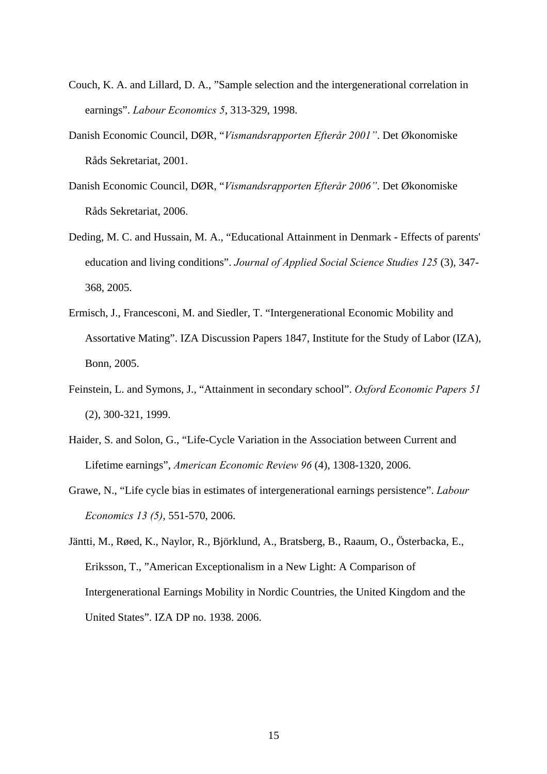- Couch, K. A. and Lillard, D. A., "Sample selection and the intergenerational correlation in earnings". *Labour Economics 5*, 313-329, 1998.
- Danish Economic Council, DØR, "*Vismandsrapporten Efterår 2001"*. Det Økonomiske Råds Sekretariat, 2001.
- Danish Economic Council, DØR, "*Vismandsrapporten Efterår 2006"*. Det Økonomiske Råds Sekretariat, 2006.
- Deding, M. C. and Hussain, M. A., "Educational Attainment in Denmark Effects of parents' education and living conditions". *Journal of Applied Social Science Studies 125* (3), 347- 368, 2005.
- Ermisch, J., Francesconi, M. and Siedler, T. "Intergenerational Economic Mobility and Assortative Mating". IZA Discussion Papers 1847, Institute for the Study of Labor (IZA), Bonn, 2005.
- Feinstein, L. and Symons, J., "Attainment in secondary school". *Oxford Economic Papers 51* (2), 300-321, 1999.
- Haider, S. and Solon, G., "Life-Cycle Variation in the Association between Current and Lifetime earnings", *American Economic Review 96* (4), 1308-1320, 2006.
- Grawe, N., "Life cycle bias in estimates of intergenerational earnings persistence". *Labour Economics 13 (5)*, 551-570, 2006.
- Jäntti, M., Røed, K., Naylor, R., Björklund, A., Bratsberg, B., Raaum, O., Österbacka, E., Eriksson, T., "American Exceptionalism in a New Light: A Comparison of Intergenerational Earnings Mobility in Nordic Countries, the United Kingdom and the United States". IZA DP no. 1938. 2006.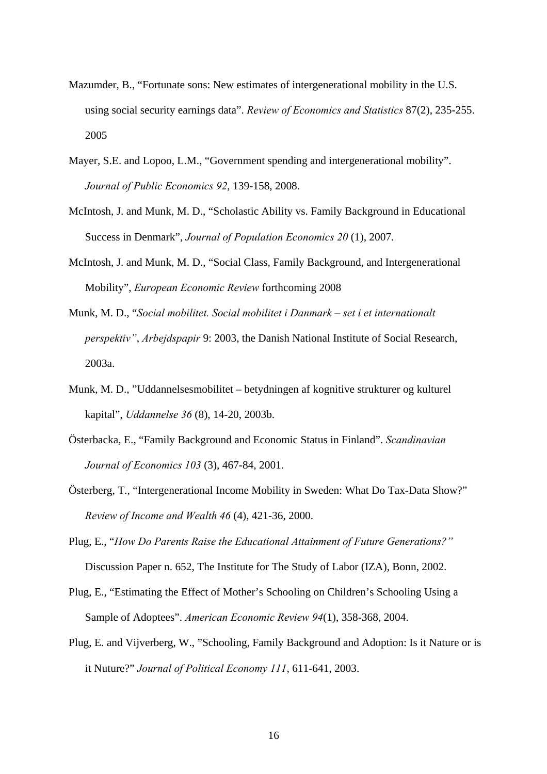- Mazumder, B., "Fortunate sons: New estimates of intergenerational mobility in the U.S. using social security earnings data". *Review of Economics and Statistics* 87(2), 235-255. 2005
- Mayer, S.E. and Lopoo, L.M., "Government spending and intergenerational mobility". *Journal of Public Economics 92*, 139-158, 2008.
- McIntosh, J. and Munk, M. D., "Scholastic Ability vs. Family Background in Educational Success in Denmark", *Journal of Population Economics 20* (1), 2007.
- McIntosh, J. and Munk, M. D., "Social Class, Family Background, and Intergenerational Mobility", *European Economic Review* forthcoming 2008
- Munk, M. D., "*Social mobilitet. Social mobilitet i Danmark set i et internationalt perspektiv"*, *Arbejdspapir* 9: 2003, the Danish National Institute of Social Research, 2003a.
- Munk, M. D., "Uddannelsesmobilitet betydningen af kognitive strukturer og kulturel kapital", *Uddannelse 36* (8), 14-20, 2003b.
- Österbacka, E., "Family Background and Economic Status in Finland". *Scandinavian Journal of Economics 103* (3), 467-84, 2001.
- Österberg, T., "Intergenerational Income Mobility in Sweden: What Do Tax-Data Show?" *Review of Income and Wealth 46* (4), 421-36, 2000.
- Plug, E., "*How Do Parents Raise the Educational Attainment of Future Generations?"* Discussion Paper n. 652, The Institute for The Study of Labor (IZA), Bonn, 2002.
- Plug, E., "Estimating the Effect of Mother's Schooling on Children's Schooling Using a Sample of Adoptees". *American Economic Review 94*(1), 358-368, 2004.
- Plug, E. and Vijverberg, W., "Schooling, Family Background and Adoption: Is it Nature or is it Nuture?" *Journal of Political Economy 111*, 611-641, 2003.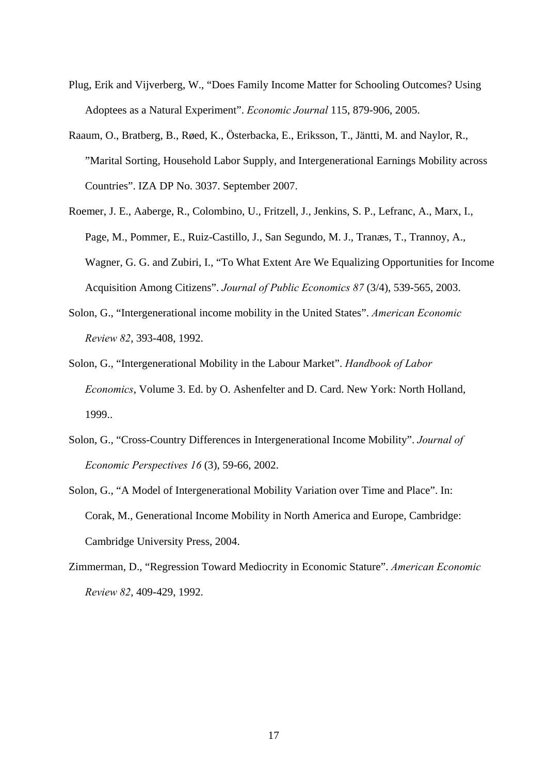- Plug, Erik and Vijverberg, W., "Does Family Income Matter for Schooling Outcomes? Using Adoptees as a Natural Experiment". *Economic Journal* 115, 879-906, 2005.
- Raaum, O., Bratberg, B., Røed, K., Österbacka, E., Eriksson, T., Jäntti, M. and Naylor, R., "Marital Sorting, Household Labor Supply, and Intergenerational Earnings Mobility across Countries". IZA DP No. 3037. September 2007.
- Roemer, J. E., Aaberge, R., Colombino, U., Fritzell, J., Jenkins, S. P., Lefranc, A., Marx, I., Page, M., Pommer, E., Ruiz-Castillo, J., San Segundo, M. J., Tranæs, T., Trannoy, A., Wagner, G. G. and Zubiri, I., "To What Extent Are We Equalizing Opportunities for Income Acquisition Among Citizens". *Journal of Public Economics 87* (3/4), 539-565, 2003.
- Solon, G., "Intergenerational income mobility in the United States". *American Economic Review 82*, 393-408, 1992.
- Solon, G., "Intergenerational Mobility in the Labour Market". *Handbook of Labor Economics*, Volume 3. Ed. by O. Ashenfelter and D. Card. New York: North Holland, 1999..
- Solon, G., "Cross-Country Differences in Intergenerational Income Mobility". *Journal of Economic Perspectives 16* (3), 59-66, 2002.
- Solon, G., "A Model of Intergenerational Mobility Variation over Time and Place". In: Corak, M., Generational Income Mobility in North America and Europe, Cambridge: Cambridge University Press, 2004.
- Zimmerman, D., "Regression Toward Mediocrity in Economic Stature". *American Economic Review 82*, 409-429, 1992.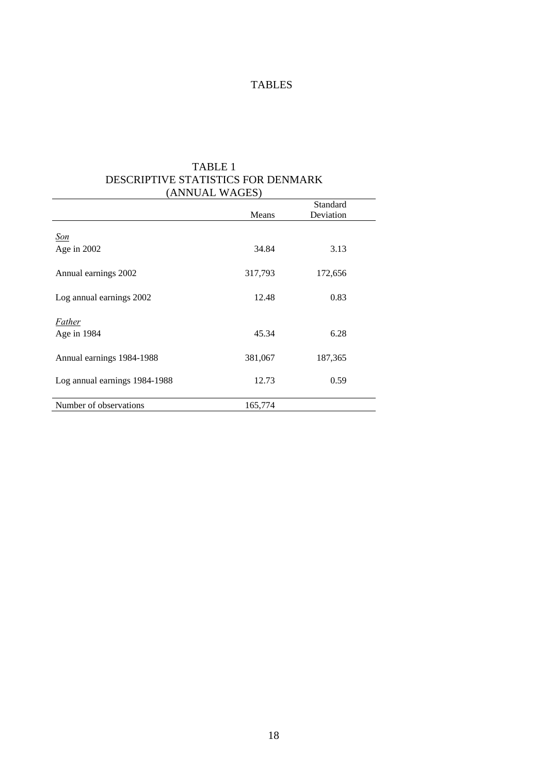#### TABLES

| (ANNUAL WAGES)                |         |                       |  |  |  |  |
|-------------------------------|---------|-----------------------|--|--|--|--|
|                               | Means   | Standard<br>Deviation |  |  |  |  |
| <u>Son</u>                    |         |                       |  |  |  |  |
| Age in $2002$                 | 34.84   | 3.13                  |  |  |  |  |
| Annual earnings 2002          | 317,793 | 172,656               |  |  |  |  |
| Log annual earnings 2002      | 12.48   | 0.83                  |  |  |  |  |
| <b>Father</b><br>Age in 1984  | 45.34   | 6.28                  |  |  |  |  |
| Annual earnings 1984-1988     | 381,067 | 187,365               |  |  |  |  |
| Log annual earnings 1984-1988 | 12.73   | 0.59                  |  |  |  |  |
| Number of observations        | 165,774 |                       |  |  |  |  |

### TABLE 1 DESCRIPTIVE STATISTICS FOR DENMARK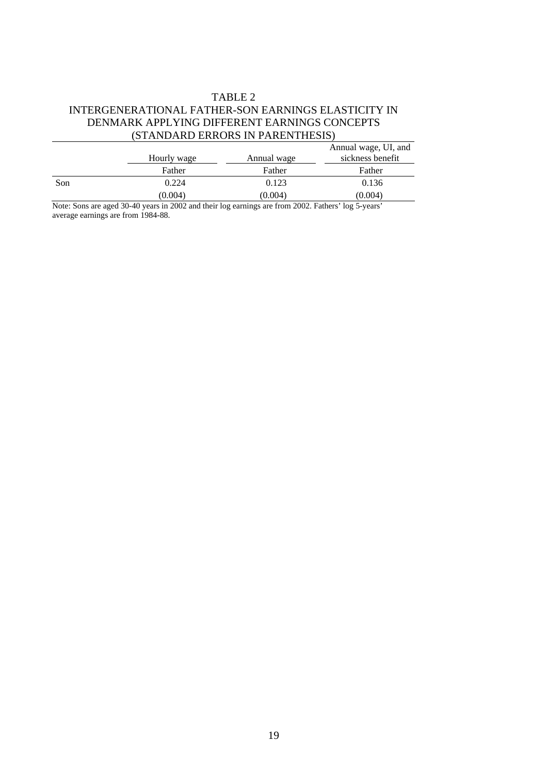#### TABLE 2 INTERGENERATIONAL FATHER-SON EARNINGS ELASTICITY IN DENMARK APPLYING DIFFERENT EARNINGS CONCEPTS (STANDARD ERRORS IN PARENTHESIS)

| <u>DIANDARD LINNORD IN ITALIA ITILIDIDI</u> |             |             |                                          |  |  |  |
|---------------------------------------------|-------------|-------------|------------------------------------------|--|--|--|
|                                             | Hourly wage | Annual wage | Annual wage, UI, and<br>sickness benefit |  |  |  |
|                                             | Father      | Father      | Father                                   |  |  |  |
| Son                                         | 0.224       | 0.123       | 0.136                                    |  |  |  |
|                                             | (0.004)     | (0.004)     | (0.004)                                  |  |  |  |
| $ -$                                        | .<br>.<br>. | -------     |                                          |  |  |  |

Note: Sons are aged 30-40 years in 2002 and their log earnings are from 2002. Fathers' log 5-years' average earnings are from 1984-88.